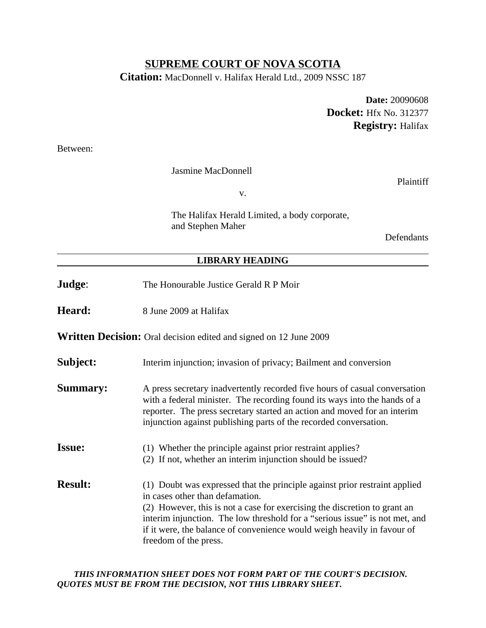### **SUPREME COURT OF NOVA SCOTIA**

**Citation:** MacDonnell v. Halifax Herald Ltd., 2009 NSSC 187

**Date:** 20090608 **Docket:** Hfx No. 312377 **Registry:** Halifax

Between:

Jasmine MacDonnell

Plaintiff

v.

The Halifax Herald Limited, a body corporate, and Stephen Maher

**Defendants** 

#### **LIBRARY HEADING**

- **Judge:** The Honourable Justice Gerald R P Moir
- **Heard:** 8 June 2009 at Halifax

**Written Decision:** Oral decision edited and signed on 12 June 2009

- **Subject:** Interim injunction; invasion of privacy; Bailment and conversion
- **Summary:** A press secretary inadvertently recorded five hours of casual conversation with a federal minister. The recording found its ways into the hands of a reporter. The press secretary started an action and moved for an interim injunction against publishing parts of the recorded conversation.
- **Issue:** (1) Whether the principle against prior restraint applies?
	- (2) If not, whether an interim injunction should be issued?
- **Result:** (1) Doubt was expressed that the principle against prior restraint applied in cases other than defamation. (2) However, this is not a case for exercising the discretion to grant an interim injunction. The low threshold for a "serious issue" is not met, and if it were, the balance of convenience would weigh heavily in favour of freedom of the press.

#### *THIS INFORMATION SHEET DOES NOT FORM PART OF THE COURT'S DECISION. QUOTES MUST BE FROM THE DECISION, NOT THIS LIBRARY SHEET***.**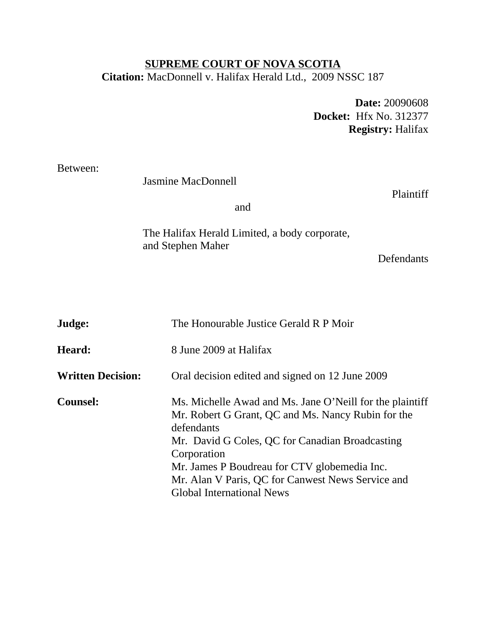## **SUPREME COURT OF NOVA SCOTIA Citation:** MacDonnell v. Halifax Herald Ltd., 2009 NSSC 187

**Date:** 20090608 **Docket:** Hfx No. 312377 **Registry:** Halifax

Between:

Jasmine MacDonnell

Plaintiff

and

The Halifax Herald Limited, a body corporate, and Stephen Maher

Defendants

| Judge:                   | The Honourable Justice Gerald R P Moir                                                                                                                                                                                                                                                                                                  |
|--------------------------|-----------------------------------------------------------------------------------------------------------------------------------------------------------------------------------------------------------------------------------------------------------------------------------------------------------------------------------------|
| Heard:                   | 8 June 2009 at Halifax                                                                                                                                                                                                                                                                                                                  |
| <b>Written Decision:</b> | Oral decision edited and signed on 12 June 2009                                                                                                                                                                                                                                                                                         |
| <b>Counsel:</b>          | Ms. Michelle Awad and Ms. Jane O'Neill for the plaintiff<br>Mr. Robert G Grant, QC and Ms. Nancy Rubin for the<br>defendants<br>Mr. David G Coles, QC for Canadian Broadcasting<br>Corporation<br>Mr. James P Boudreau for CTV globemedia Inc.<br>Mr. Alan V Paris, QC for Canwest News Service and<br><b>Global International News</b> |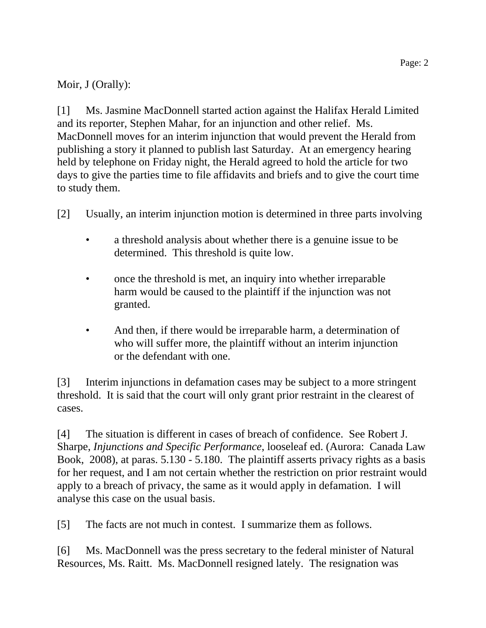# Moir, J (Orally):

[1] Ms. Jasmine MacDonnell started action against the Halifax Herald Limited and its reporter, Stephen Mahar, for an injunction and other relief. Ms. MacDonnell moves for an interim injunction that would prevent the Herald from publishing a story it planned to publish last Saturday. At an emergency hearing held by telephone on Friday night, the Herald agreed to hold the article for two days to give the parties time to file affidavits and briefs and to give the court time to study them.

- [2] Usually, an interim injunction motion is determined in three parts involving
	- a threshold analysis about whether there is a genuine issue to be determined. This threshold is quite low.
	- once the threshold is met, an inquiry into whether irreparable harm would be caused to the plaintiff if the injunction was not granted.
	- And then, if there would be irreparable harm, a determination of who will suffer more, the plaintiff without an interim injunction or the defendant with one.

[3] Interim injunctions in defamation cases may be subject to a more stringent threshold. It is said that the court will only grant prior restraint in the clearest of cases.

[4] The situation is different in cases of breach of confidence. See Robert J. Sharpe, *Injunctions and Specific Performance*, looseleaf ed. (Aurora: Canada Law Book, 2008), at paras. 5.130 - 5.180. The plaintiff asserts privacy rights as a basis for her request, and I am not certain whether the restriction on prior restraint would apply to a breach of privacy, the same as it would apply in defamation. I will analyse this case on the usual basis.

[5] The facts are not much in contest. I summarize them as follows.

[6] Ms. MacDonnell was the press secretary to the federal minister of Natural Resources, Ms. Raitt. Ms. MacDonnell resigned lately. The resignation was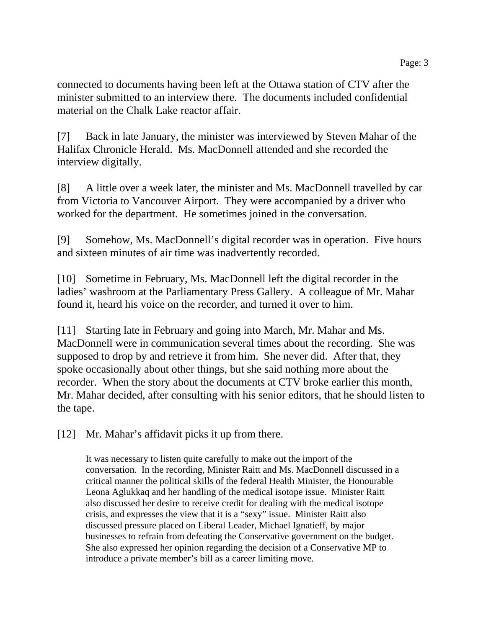connected to documents having been left at the Ottawa station of CTV after the minister submitted to an interview there. The documents included confidential material on the Chalk Lake reactor affair.

[7] Back in late January, the minister was interviewed by Steven Mahar of the Halifax Chronicle Herald. Ms. MacDonnell attended and she recorded the interview digitally.

[8] A little over a week later, the minister and Ms. MacDonnell travelled by car from Victoria to Vancouver Airport. They were accompanied by a driver who worked for the department. He sometimes joined in the conversation.

[9] Somehow, Ms. MacDonnell's digital recorder was in operation. Five hours and sixteen minutes of air time was inadvertently recorded.

[10] Sometime in February, Ms. MacDonnell left the digital recorder in the ladies' washroom at the Parliamentary Press Gallery. A colleague of Mr. Mahar found it, heard his voice on the recorder, and turned it over to him.

[11] Starting late in February and going into March, Mr. Mahar and Ms. MacDonnell were in communication several times about the recording. She was supposed to drop by and retrieve it from him. She never did. After that, they spoke occasionally about other things, but she said nothing more about the recorder. When the story about the documents at CTV broke earlier this month, Mr. Mahar decided, after consulting with his senior editors, that he should listen to the tape.

[12] Mr. Mahar's affidavit picks it up from there.

It was necessary to listen quite carefully to make out the import of the conversation. In the recording, Minister Raitt and Ms. MacDonnell discussed in a critical manner the political skills of the federal Health Minister, the Honourable Leona Aglukkaq and her handling of the medical isotope issue. Minister Raitt also discussed her desire to receive credit for dealing with the medical isotope crisis, and expresses the view that it is a "sexy" issue. Minister Raitt also discussed pressure placed on Liberal Leader, Michael Ignatieff, by major businesses to refrain from defeating the Conservative government on the budget. She also expressed her opinion regarding the decision of a Conservative MP to introduce a private member's bill as a career limiting move.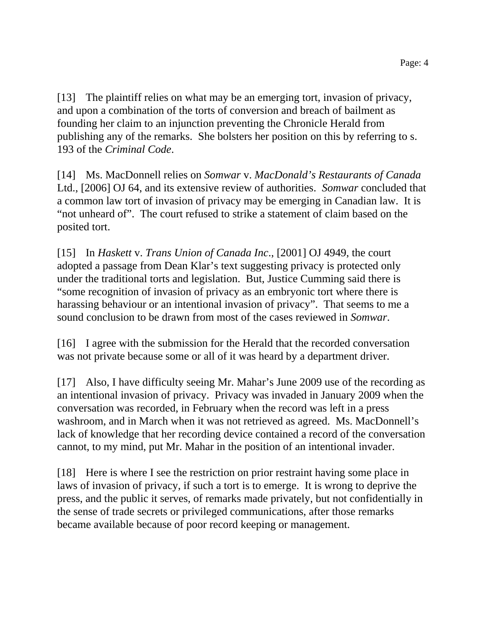[13] The plaintiff relies on what may be an emerging tort, invasion of privacy, and upon a combination of the torts of conversion and breach of bailment as founding her claim to an injunction preventing the Chronicle Herald from publishing any of the remarks. She bolsters her position on this by referring to s. 193 of the *Criminal Code*.

[14] Ms. MacDonnell relies on *Somwar* v. *MacDonald's Restaurants of Canada* Ltd., [2006] OJ 64, and its extensive review of authorities. *Somwar* concluded that a common law tort of invasion of privacy may be emerging in Canadian law. It is "not unheard of". The court refused to strike a statement of claim based on the posited tort.

[15] In *Haskett* v. *Trans Union of Canada Inc*., [2001] OJ 4949, the court adopted a passage from Dean Klar's text suggesting privacy is protected only under the traditional torts and legislation. But, Justice Cumming said there is "some recognition of invasion of privacy as an embryonic tort where there is harassing behaviour or an intentional invasion of privacy". That seems to me a sound conclusion to be drawn from most of the cases reviewed in *Somwar*.

[16] I agree with the submission for the Herald that the recorded conversation was not private because some or all of it was heard by a department driver.

[17] Also, I have difficulty seeing Mr. Mahar's June 2009 use of the recording as an intentional invasion of privacy. Privacy was invaded in January 2009 when the conversation was recorded, in February when the record was left in a press washroom, and in March when it was not retrieved as agreed. Ms. MacDonnell's lack of knowledge that her recording device contained a record of the conversation cannot, to my mind, put Mr. Mahar in the position of an intentional invader.

[18] Here is where I see the restriction on prior restraint having some place in laws of invasion of privacy, if such a tort is to emerge. It is wrong to deprive the press, and the public it serves, of remarks made privately, but not confidentially in the sense of trade secrets or privileged communications, after those remarks became available because of poor record keeping or management.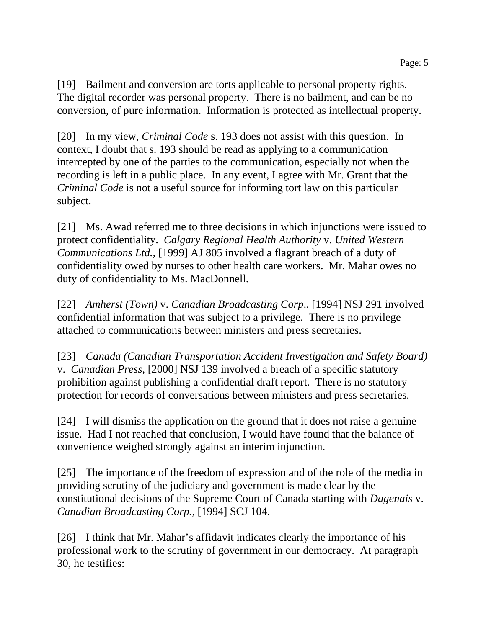[19] Bailment and conversion are torts applicable to personal property rights. The digital recorder was personal property. There is no bailment, and can be no conversion, of pure information. Information is protected as intellectual property.

[20] In my view, *Criminal Code* s. 193 does not assist with this question. In context, I doubt that s. 193 should be read as applying to a communication intercepted by one of the parties to the communication, especially not when the recording is left in a public place. In any event, I agree with Mr. Grant that the *Criminal Code* is not a useful source for informing tort law on this particular subject.

[21] Ms. Awad referred me to three decisions in which injunctions were issued to protect confidentiality. *Calgary Regional Health Authority* v. *United Western Communications Ltd.*, [1999] AJ 805 involved a flagrant breach of a duty of confidentiality owed by nurses to other health care workers. Mr. Mahar owes no duty of confidentiality to Ms. MacDonnell.

[22] *Amherst (Town)* v. *Canadian Broadcasting Corp*., [1994] NSJ 291 involved confidential information that was subject to a privilege. There is no privilege attached to communications between ministers and press secretaries.

[23] *Canada (Canadian Transportation Accident Investigation and Safety Board)* v. *Canadian Press*, [2000] NSJ 139 involved a breach of a specific statutory prohibition against publishing a confidential draft report. There is no statutory protection for records of conversations between ministers and press secretaries.

[24] I will dismiss the application on the ground that it does not raise a genuine issue. Had I not reached that conclusion, I would have found that the balance of convenience weighed strongly against an interim injunction.

[25] The importance of the freedom of expression and of the role of the media in providing scrutiny of the judiciary and government is made clear by the constitutional decisions of the Supreme Court of Canada starting with *Dagenais* v. *Canadian Broadcasting Corp.*, [1994] SCJ 104.

[26] I think that Mr. Mahar's affidavit indicates clearly the importance of his professional work to the scrutiny of government in our democracy. At paragraph 30, he testifies: